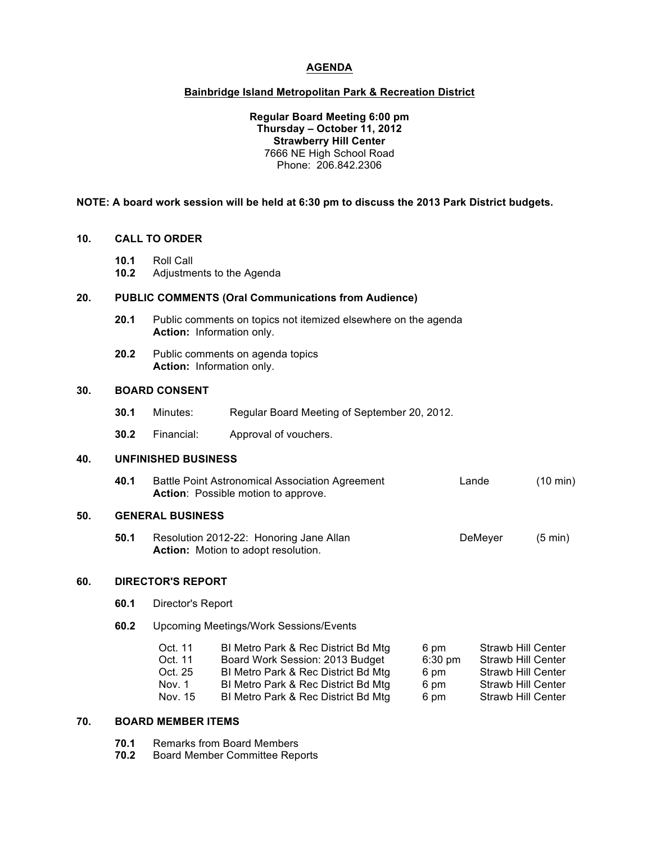## **AGENDA**

## **Bainbridge Island Metropolitan Park & Recreation District**

### **Regular Board Meeting 6:00 pm Thursday – October 11, 2012 Strawberry Hill Center** 7666 NE High School Road Phone: 206.842.2306

### **NOTE: A board work session will be held at 6:30 pm to discuss the 2013 Park District budgets.**

#### **10. CALL TO ORDER**

- **10.1** Roll Call
- **10.2** Adjustments to the Agenda

## **20. PUBLIC COMMENTS (Oral Communications from Audience)**

- **20.1** Public comments on topics not itemized elsewhere on the agenda **Action:** Information only.
- **20.2** Public comments on agenda topics **Action:** Information only.

#### **30. BOARD CONSENT**

- **30.1** Minutes: Regular Board Meeting of September 20, 2012.
- **30.2** Financial: Approval of vouchers.

## **40. UNFINISHED BUSINESS**

**40.1** Battle Point Astronomical Association Agreement Lande (10 min) Action: Possible motion to approve.

## **50. GENERAL BUSINESS**

**50.1** Resolution 2012-22: Honoring Jane Allan **Demetric Communication** DeMeyer (5 min) **Action:** Motion to adopt resolution.

#### **60. DIRECTOR'S REPORT**

| 60.1 | Director's Report                                  |                                                                                                                                                                                             |                                           |                                                                                                            |  |  |
|------|----------------------------------------------------|---------------------------------------------------------------------------------------------------------------------------------------------------------------------------------------------|-------------------------------------------|------------------------------------------------------------------------------------------------------------|--|--|
| 60.2 | <b>Upcoming Meetings/Work Sessions/Events</b>      |                                                                                                                                                                                             |                                           |                                                                                                            |  |  |
|      | Oct. 11<br>Oct. 11<br>Oct. 25<br>Nov. 1<br>Nov. 15 | BI Metro Park & Rec District Bd Mtg<br>Board Work Session: 2013 Budget<br>BI Metro Park & Rec District Bd Mtg<br>BI Metro Park & Rec District Bd Mtg<br>BI Metro Park & Rec District Bd Mtg | 6 pm<br>$6:30$ pm<br>6 pm<br>6 pm<br>6 pm | Strawb Hill Center<br>Strawb Hill Center<br>Strawb Hill Center<br>Strawb Hill Center<br>Strawb Hill Center |  |  |

## **70. BOARD MEMBER ITEMS**

| 70.1 |  | Remarks from Board Members |
|------|--|----------------------------|
|      |  |                            |

**70.2** Board Member Committee Reports